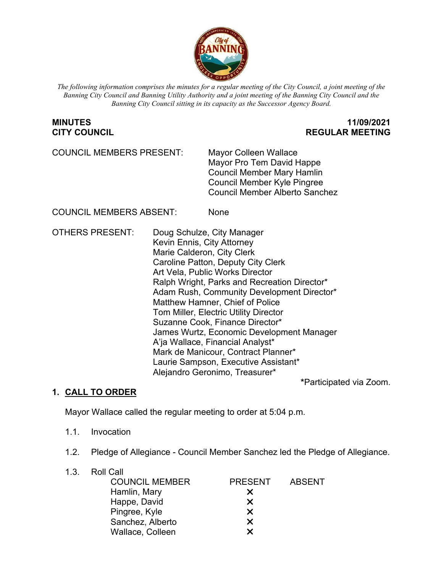

*The following information comprises the minutes for a regular meeting of the City Council, a joint meeting of the Banning City Council and Banning Utility Authority and a joint meeting of the Banning City Council and the Banning City Council sitting in its capacity as the Successor Agency Board.*

## **MINUTES 11/09/2021 CITY COUNCIL REGULAR MEETING**

COUNCIL MEMBERS PRESENT: Mayor Colleen Wallace

Mayor Pro Tem David Happe Council Member Mary Hamlin Council Member Kyle Pingree Council Member Alberto Sanchez

COUNCIL MEMBERS ABSENT: None

OTHERS PRESENT: Doug Schulze, City Manager Kevin Ennis, City Attorney Marie Calderon, City Clerk Caroline Patton, Deputy City Clerk Art Vela, Public Works Director Ralph Wright, Parks and Recreation Director\* Adam Rush, Community Development Director\* Matthew Hamner, Chief of Police Tom Miller, Electric Utility Director Suzanne Cook, Finance Director\* James Wurtz, Economic Development Manager A'ja Wallace, Financial Analyst\* Mark de Manicour, Contract Planner\* Laurie Sampson, Executive Assistant\* Alejandro Geronimo, Treasurer\*

**\***Participated via Zoom.

## **1. CALL TO ORDER**

Mayor Wallace called the regular meeting to order at 5:04 p.m.

- 1.1. Invocation
- 1.2. Pledge of Allegiance Council Member Sanchez led the Pledge of Allegiance.
- 1.3. Roll Call COUNCIL MEMBER PRESENT ABSENT Hamlin, Mary **X** Happe, David Pingree, Kyle Sanchez, Alberto **X** Wallace, Colleen **X**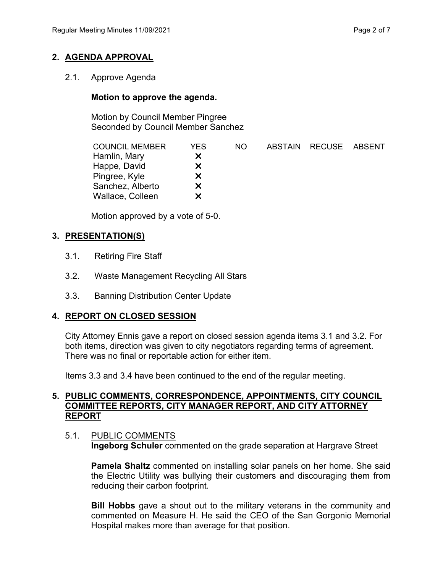# **2. AGENDA APPROVAL**

2.1. Approve Agenda

## **Motion to approve the agenda.**

Motion by Council Member Pingree Seconded by Council Member Sanchez

| YES | NO. |  |                       |
|-----|-----|--|-----------------------|
| X   |     |  |                       |
| X.  |     |  |                       |
| x   |     |  |                       |
| X   |     |  |                       |
| X   |     |  |                       |
|     |     |  | ABSTAIN RECUSE ABSENT |

Motion approved by a vote of 5-0.

## **3. PRESENTATION(S)**

- 3.1. Retiring Fire Staff
- 3.2. Waste Management Recycling All Stars
- 3.3. Banning Distribution Center Update

## **4. REPORT ON CLOSED SESSION**

City Attorney Ennis gave a report on closed session agenda items 3.1 and 3.2. For both items, direction was given to city negotiators regarding terms of agreement. There was no final or reportable action for either item.

Items 3.3 and 3.4 have been continued to the end of the regular meeting.

#### **5. PUBLIC COMMENTS, CORRESPONDENCE, APPOINTMENTS, CITY COUNCIL COMMITTEE REPORTS, CITY MANAGER REPORT, AND CITY ATTORNEY REPORT**

#### 5.1. PUBLIC COMMENTS

**Ingeborg Schuler** commented on the grade separation at Hargrave Street

**Pamela Shaltz** commented on installing solar panels on her home. She said the Electric Utility was bullying their customers and discouraging them from reducing their carbon footprint.

**Bill Hobbs** gave a shout out to the military veterans in the community and commented on Measure H. He said the CEO of the San Gorgonio Memorial Hospital makes more than average for that position.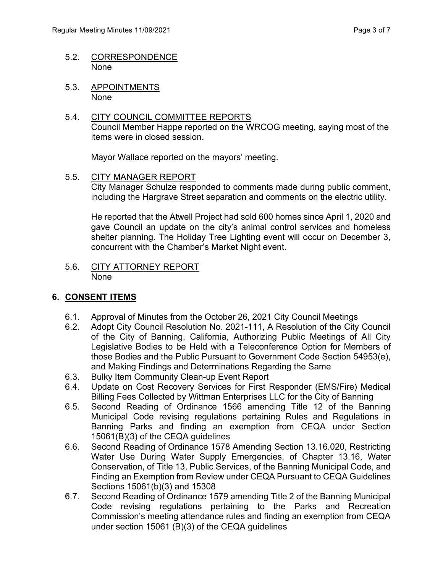- 5.2. CORRESPONDENCE None
- 5.3. APPOINTMENTS None
- 5.4. CITY COUNCIL COMMITTEE REPORTS Council Member Happe reported on the WRCOG meeting, saying most of the items were in closed session.

Mayor Wallace reported on the mayors' meeting.

5.5. CITY MANAGER REPORT City Manager Schulze responded to comments made during public comment, including the Hargrave Street separation and comments on the electric utility.

He reported that the Atwell Project had sold 600 homes since April 1, 2020 and gave Council an update on the city's animal control services and homeless shelter planning. The Holiday Tree Lighting event will occur on December 3, concurrent with the Chamber's Market Night event.

5.6. CITY ATTORNEY REPORT None

## **6. CONSENT ITEMS**

- 6.1. Approval of Minutes from the October 26, 2021 City Council Meetings
- 6.2. Adopt City Council Resolution No. 2021-111, A Resolution of the City Council of the City of Banning, California, Authorizing Public Meetings of All City Legislative Bodies to be Held with a Teleconference Option for Members of those Bodies and the Public Pursuant to Government Code Section 54953(e), and Making Findings and Determinations Regarding the Same
- 6.3. Bulky Item Community Clean-up Event Report
- 6.4. Update on Cost Recovery Services for First Responder (EMS/Fire) Medical Billing Fees Collected by Wittman Enterprises LLC for the City of Banning
- 6.5. Second Reading of Ordinance 1566 amending Title 12 of the Banning Municipal Code revising regulations pertaining Rules and Regulations in Banning Parks and finding an exemption from CEQA under Section 15061(B)(3) of the CEQA guidelines
- 6.6. Second Reading of Ordinance 1578 Amending Section 13.16.020, Restricting Water Use During Water Supply Emergencies, of Chapter 13.16, Water Conservation, of Title 13, Public Services, of the Banning Municipal Code, and Finding an Exemption from Review under CEQA Pursuant to CEQA Guidelines Sections 15061(b)(3) and 15308
- 6.7. Second Reading of Ordinance 1579 amending Title 2 of the Banning Municipal Code revising regulations pertaining to the Parks and Recreation Commission's meeting attendance rules and finding an exemption from CEQA under section 15061 (B)(3) of the CEQA guidelines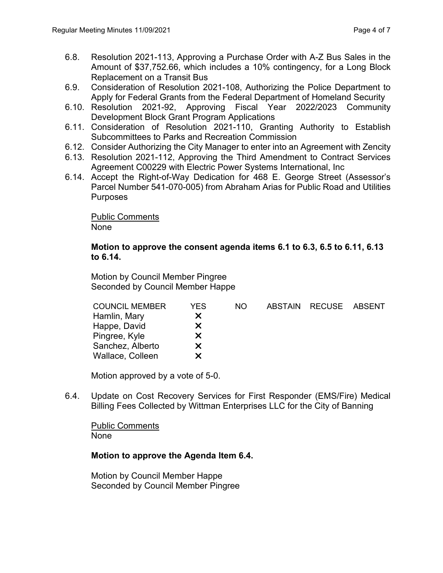- 6.8. Resolution 2021-113, Approving a Purchase Order with A-Z Bus Sales in the Amount of \$37,752.66, which includes a 10% contingency, for a Long Block Replacement on a Transit Bus
- 6.9. Consideration of Resolution 2021-108, Authorizing the Police Department to Apply for Federal Grants from the Federal Department of Homeland Security
- 6.10. Resolution 2021-92, Approving Fiscal Year 2022/2023 Community Development Block Grant Program Applications
- 6.11. Consideration of Resolution 2021-110, Granting Authority to Establish Subcommittees to Parks and Recreation Commission
- 6.12. Consider Authorizing the City Manager to enter into an Agreement with Zencity
- 6.13. Resolution 2021-112, Approving the Third Amendment to Contract Services Agreement C00229 with Electric Power Systems International, Inc
- 6.14. Accept the Right-of-Way Dedication for 468 E. George Street (Assessor's Parcel Number 541-070-005) from Abraham Arias for Public Road and Utilities **Purposes**

Public Comments None

#### **Motion to approve the consent agenda items 6.1 to 6.3, 6.5 to 6.11, 6.13 to 6.14.**

Motion by Council Member Pingree Seconded by Council Member Happe

| <b>COUNCIL MEMBER</b> | YES | NO. | <b>ABSTAIN</b> | RECUSE | ABSENT |
|-----------------------|-----|-----|----------------|--------|--------|
| Hamlin, Mary          | x   |     |                |        |        |
| Happe, David          | X.  |     |                |        |        |
| Pingree, Kyle         | X.  |     |                |        |        |
| Sanchez, Alberto      | X.  |     |                |        |        |
| Wallace, Colleen      | x   |     |                |        |        |
|                       |     |     |                |        |        |

Motion approved by a vote of 5-0.

6.4. Update on Cost Recovery Services for First Responder (EMS/Fire) Medical Billing Fees Collected by Wittman Enterprises LLC for the City of Banning

Public Comments None

## **Motion to approve the Agenda Item 6.4.**

Motion by Council Member Happe Seconded by Council Member Pingree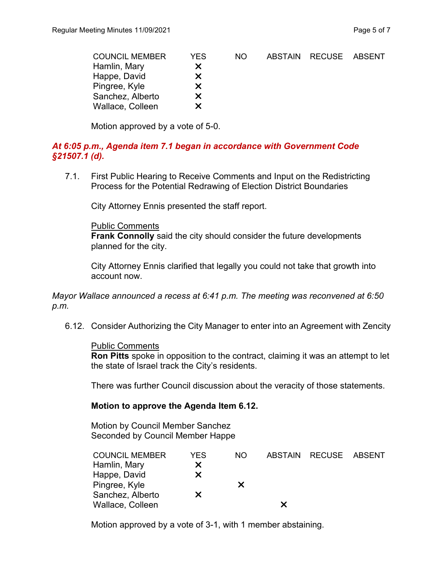| <b>COUNCIL MEMBER</b> | YES. | NO. | <b>ABSTAIN</b> | RECUSE ABSENT |  |
|-----------------------|------|-----|----------------|---------------|--|
| Hamlin, Mary          | X.   |     |                |               |  |
| Happe, David          | X.   |     |                |               |  |
| Pingree, Kyle         | X.   |     |                |               |  |
| Sanchez, Alberto      | X.   |     |                |               |  |
| Wallace, Colleen      |      |     |                |               |  |

Motion approved by a vote of 5-0.

#### *At 6:05 p.m., Agenda item 7.1 began in accordance with Government Code §21507.1 (d).*

7.1. First Public Hearing to Receive Comments and Input on the Redistricting Process for the Potential Redrawing of Election District Boundaries

City Attorney Ennis presented the staff report.

Public Comments

**Frank Connolly** said the city should consider the future developments planned for the city.

City Attorney Ennis clarified that legally you could not take that growth into account now.

*Mayor Wallace announced a recess at 6:41 p.m. The meeting was reconvened at 6:50 p.m.*

6.12. Consider Authorizing the City Manager to enter into an Agreement with Zencity

#### Public Comments

**Ron Pitts** spoke in opposition to the contract, claiming it was an attempt to let the state of Israel track the City's residents.

There was further Council discussion about the veracity of those statements.

#### **Motion to approve the Agenda Item 6.12.**

Motion by Council Member Sanchez Seconded by Council Member Happe

| <b>COUNCIL MEMBER</b> | YES | NO. |   | ABSTAIN RECUSE | ABSENT |
|-----------------------|-----|-----|---|----------------|--------|
| Hamlin, Mary          | x   |     |   |                |        |
| Happe, David          | x   |     |   |                |        |
| Pingree, Kyle         |     | X.  |   |                |        |
| Sanchez, Alberto      | x   |     |   |                |        |
| Wallace, Colleen      |     |     | x |                |        |

Motion approved by a vote of 3-1, with 1 member abstaining.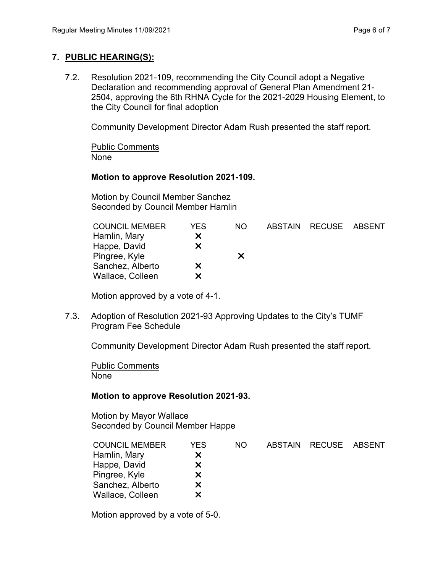### **7. PUBLIC HEARING(S):**

7.2. Resolution 2021-109, recommending the City Council adopt a Negative Declaration and recommending approval of General Plan Amendment 21- 2504, approving the 6th RHNA Cycle for the 2021-2029 Housing Element, to the City Council for final adoption

Community Development Director Adam Rush presented the staff report.

Public Comments None

## **Motion to approve Resolution 2021-109.**

Motion by Council Member Sanchez Seconded by Council Member Hamlin

| YES | NO. |  |                       |
|-----|-----|--|-----------------------|
| X   |     |  |                       |
| x   |     |  |                       |
|     | x   |  |                       |
| X   |     |  |                       |
| х   |     |  |                       |
|     |     |  | ABSTAIN RECUSE ABSENT |

Motion approved by a vote of 4-1.

7.3. Adoption of Resolution 2021-93 Approving Updates to the City's TUMF Program Fee Schedule

Community Development Director Adam Rush presented the staff report.

Public Comments None

## **Motion to approve Resolution 2021-93.**

Motion by Mayor Wallace Seconded by Council Member Happe

| <b>COUNCIL MEMBER</b> | YES | NO. | ABSTAIN RECUSE | ABSENT |
|-----------------------|-----|-----|----------------|--------|
| Hamlin, Mary          | x   |     |                |        |
| Happe, David          | X   |     |                |        |
| Pingree, Kyle         | x   |     |                |        |
| Sanchez, Alberto      | x   |     |                |        |
| Wallace, Colleen      | х   |     |                |        |
|                       |     |     |                |        |

Motion approved by a vote of 5-0.